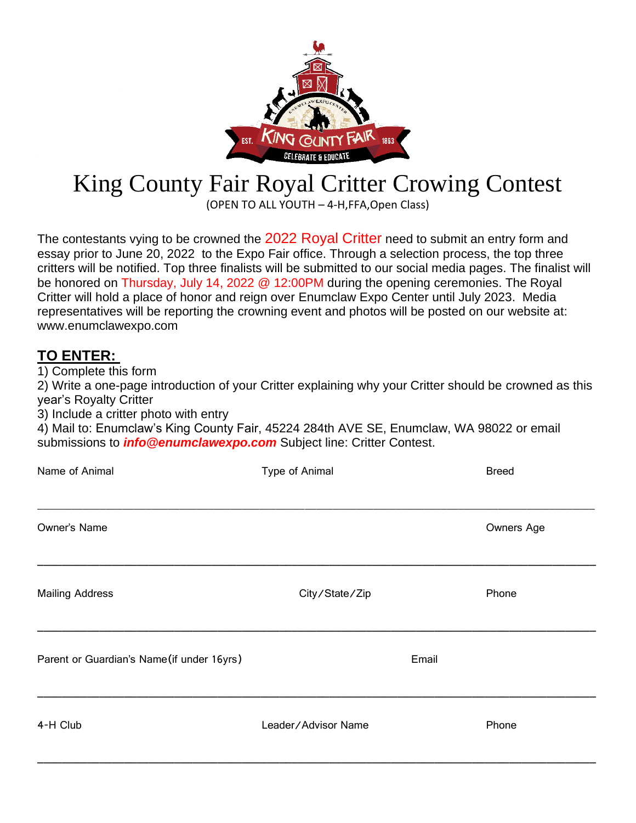

## King County Fair Royal Critter Crowing Contest

(OPEN TO ALL YOUTH – 4-H,FFA,Open Class)

The contestants vying to be crowned the 2022 Royal Critter need to submit an entry form and essay prior to June 20, 2022 to the Expo Fair office. Through a selection process, the top three critters will be notified. Top three finalists will be submitted to our social media pages. The finalist will be honored on Thursday, July 14, 2022 @ 12:00PM during the opening ceremonies. The Royal Critter will hold a place of honor and reign over Enumclaw Expo Center until July 2023. Media representatives will be reporting the crowning event and photos will be posted on our website at: [www.enumclawexpo.com](http://www.enumclawexpo.com/)

## **TO ENTER:**

1) Complete this form

2) Write a one-page introduction of your Critter explaining why your Critter should be crowned as this year's Royalty Critter

3) Include a critter photo with entry

4) Mail to: Enumclaw's King County Fair, 45224 284th AVE SE, Enumclaw, WA 98022 or email submissions to *[info@enumclawexpo.com](mailto:info@enumclawexpo.com)* Subject line: Critter Contest.

| Name of Animal                             | Type of Animal      |       | <b>Breed</b> |
|--------------------------------------------|---------------------|-------|--------------|
| Owner's Name                               |                     |       | Owners Age   |
| <b>Mailing Address</b>                     | City/State/Zip      |       | Phone        |
| Parent or Guardian's Name (if under 16yrs) |                     | Email |              |
| 4-H Club                                   | Leader/Advisor Name |       | Phone        |

\_\_\_\_\_\_\_\_\_\_\_\_\_\_\_\_\_\_\_\_\_\_\_\_\_\_\_\_\_\_\_\_\_\_\_\_\_\_\_\_\_\_\_\_\_\_\_\_\_\_\_\_\_\_\_\_\_\_\_\_\_\_\_\_\_\_\_\_\_\_\_\_\_\_\_\_\_\_\_\_\_\_\_\_\_\_\_\_\_\_